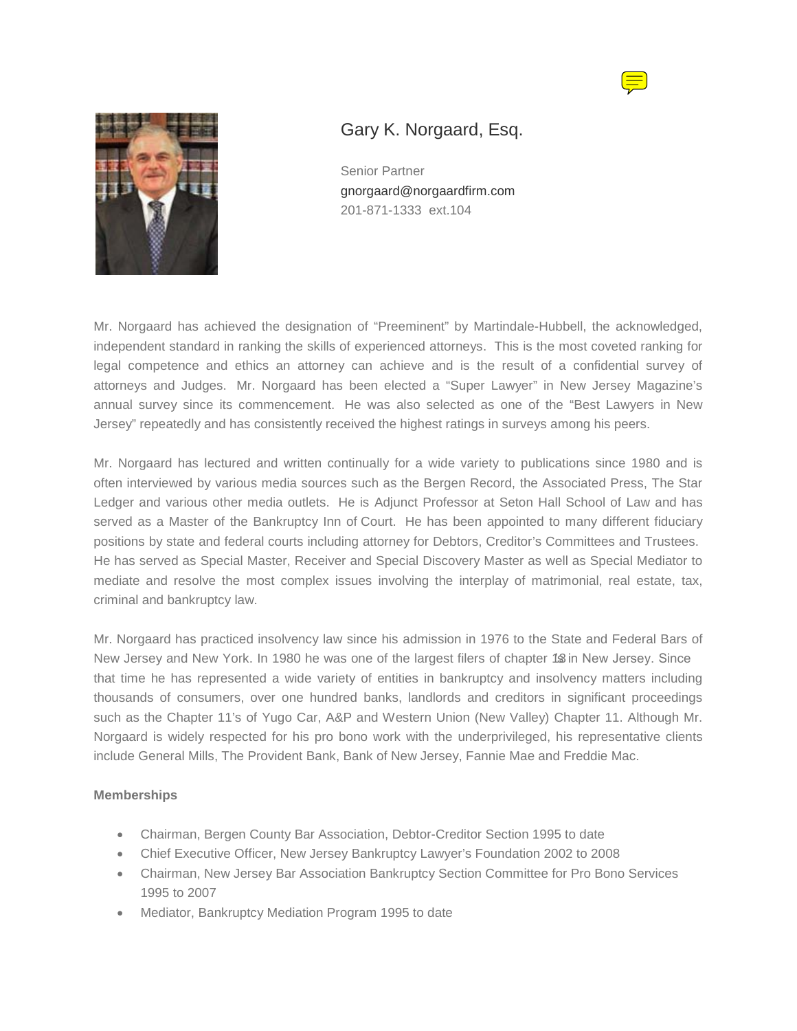



## Gary K. Norgaard, Esq.

Senior Partner [gnorgaard@norgaardfirm.com](mailto:gnorgaard@norgaardfirm.com) 201-871-1333 ext.104

Mr. Norgaard has achieved the designation of "Preeminent" by Martindale-Hubbell, the acknowledged, independent standard in ranking the skills of experienced attorneys. This is the most coveted ranking for legal competence and ethics an attorney can achieve and is the result of a confidential survey of attorneys and Judges. Mr. Norgaard has been elected a "Super Lawyer" in New Jersey Magazine's annual survey since its commencement. He was also selected as one of the "Best Lawyers in New Jersey" repeatedly and has consistently received the highest ratings in surveys among his peers.

Mr. Norgaard has lectured and written continually for a wide variety to publications since 1980 and is often interviewed by various media sources such as the Bergen Record, the Associated Press, The Star Ledger and various other media outlets. He is Adjunct Professor at Seton Hall School of Law and has served as a Master of the Bankruptcy Inn of Court. He has been appointed to many different fiduciary positions by state and federal courts including attorney for Debtors, Creditor's Committees and Trustees. He has served as Special Master, Receiver and Special Discovery Master as well as Special Mediator to mediate and resolve the most complex issues involving the interplay of matrimonial, real estate, tax, criminal and bankruptcy law.

Mr. Norgaard has practiced insolvency law since his admission in 1976 to the State and Federal Bars of New Jersey and New York. In 1980 he was one of the largest filers of chapter 1\$ in New Jersey. Since that time he has represented a wide variety of entities in bankruptcy and insolvency matters including thousands of consumers, over one hundred banks, landlords and creditors in significant proceedings such as the Chapter 11's of Yugo Car, A&P and Western Union (New Valley) Chapter 11. Although Mr. Norgaard is widely respected for his pro bono work with the underprivileged, his representative clients include General Mills, The Provident Bank, Bank of New Jersey, Fannie Mae and Freddie Mac.

## **Memberships**

- Chairman, Bergen County Bar Association, Debtor-Creditor Section 1995 to date
- Chief Executive Officer, New Jersey Bankruptcy Lawyer's Foundation 2002 to 2008
- Chairman, New Jersey Bar Association Bankruptcy Section Committee for Pro Bono Services 1995 to 2007
- Mediator, Bankruptcy Mediation Program 1995 to date